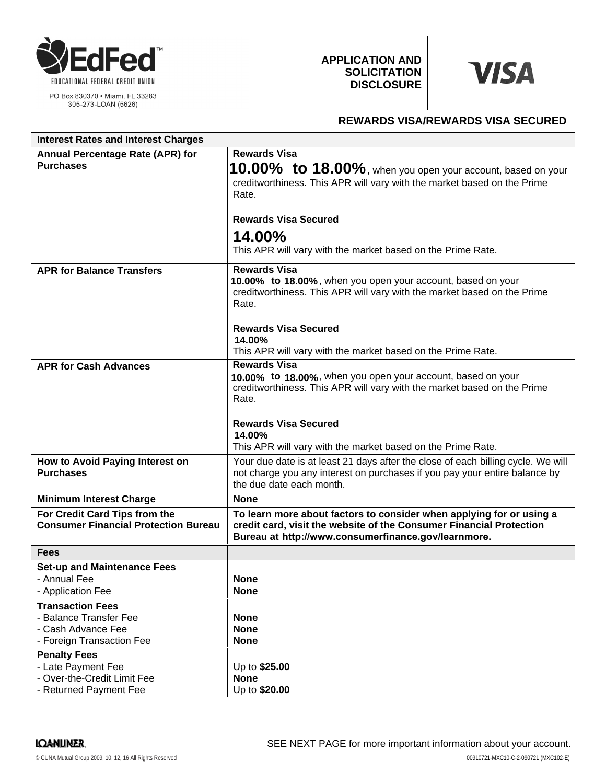

PO Box 830370 · Miami, FL 33283 305-273-LOAN (5626)

**APPLICATION AND SOLICITATION DISCLOSURE** 



# **REWARDS VISA/REWARDS VISA SECURED**

| <b>Interest Rates and Interest Charges</b>                                                           |                                                                                                                                                                                                    |
|------------------------------------------------------------------------------------------------------|----------------------------------------------------------------------------------------------------------------------------------------------------------------------------------------------------|
| <b>Annual Percentage Rate (APR) for</b><br><b>Purchases</b>                                          | <b>Rewards Visa</b><br>$10.00\%$ to $18.00\%$ , when you open your account, based on your<br>creditworthiness. This APR will vary with the market based on the Prime<br>Rate.                      |
|                                                                                                      | <b>Rewards Visa Secured</b>                                                                                                                                                                        |
|                                                                                                      | 14.00%<br>This APR will vary with the market based on the Prime Rate.                                                                                                                              |
| <b>APR for Balance Transfers</b>                                                                     | <b>Rewards Visa</b><br>10.00% to 18.00%, when you open your account, based on your<br>creditworthiness. This APR will vary with the market based on the Prime<br>Rate.                             |
|                                                                                                      | <b>Rewards Visa Secured</b><br>14.00%<br>This APR will vary with the market based on the Prime Rate.                                                                                               |
| <b>APR for Cash Advances</b>                                                                         | <b>Rewards Visa</b><br>10.00% to 18.00%, when you open your account, based on your<br>creditworthiness. This APR will vary with the market based on the Prime<br>Rate.                             |
|                                                                                                      | <b>Rewards Visa Secured</b><br>14.00%<br>This APR will vary with the market based on the Prime Rate.                                                                                               |
| How to Avoid Paying Interest on<br><b>Purchases</b>                                                  | Your due date is at least 21 days after the close of each billing cycle. We will<br>not charge you any interest on purchases if you pay your entire balance by<br>the due date each month.         |
| <b>Minimum Interest Charge</b>                                                                       | <b>None</b>                                                                                                                                                                                        |
| For Credit Card Tips from the<br><b>Consumer Financial Protection Bureau</b>                         | To learn more about factors to consider when applying for or using a<br>credit card, visit the website of the Consumer Financial Protection<br>Bureau at http://www.consumerfinance.gov/learnmore. |
| <b>Fees</b>                                                                                          |                                                                                                                                                                                                    |
| <b>Set-up and Maintenance Fees</b><br>- Annual Fee<br>- Application Fee                              | <b>None</b><br><b>None</b>                                                                                                                                                                         |
| <b>Transaction Fees</b><br>- Balance Transfer Fee<br>- Cash Advance Fee<br>- Foreign Transaction Fee | <b>None</b><br><b>None</b><br><b>None</b>                                                                                                                                                          |
| <b>Penalty Fees</b><br>- Late Payment Fee<br>- Over-the-Credit Limit Fee<br>- Returned Payment Fee   | Up to \$25.00<br><b>None</b><br>Up to \$20.00                                                                                                                                                      |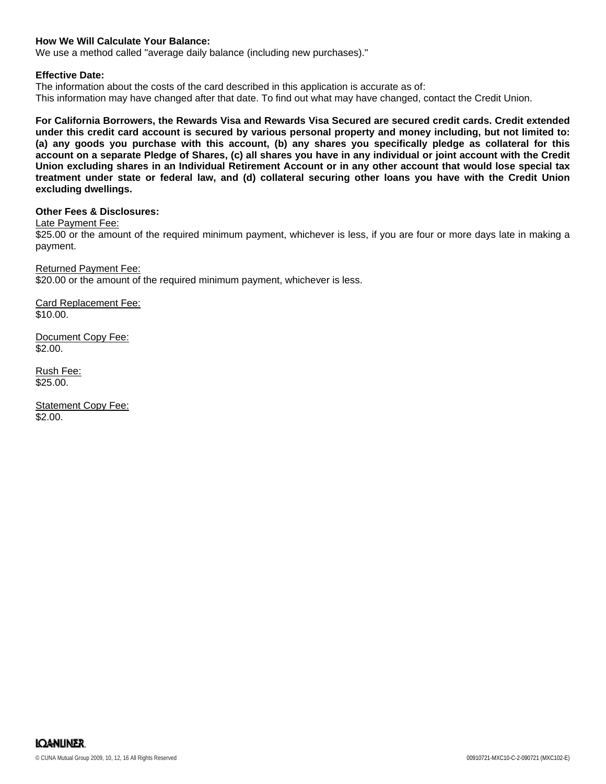## **How We Will Calculate Your Balance:**

We use a method called "average daily balance (including new purchases)."

#### **Effective Date:**

The information about the costs of the card described in this application is accurate as of: This information may have changed after that date. To find out what may have changed, contact the Credit Union.

**For California Borrowers, the Rewards Visa and Rewards Visa Secured are secured credit cards. Credit extended under this credit card account is secured by various personal property and money including, but not limited to: (a) any goods you purchase with this account, (b) any shares you specifically pledge as collateral for this account on a separate Pledge of Shares, (c) all shares you have in any individual or joint account with the Credit Union excluding shares in an Individual Retirement Account or in any other account that would lose special tax treatment under state or federal law, and (d) collateral securing other loans you have with the Credit Union excluding dwellings.** 

# **Other Fees & Disclosures:**

Late Payment Fee:

\$25.00 or the amount of the required minimum payment, whichever is less, if you are four or more days late in making a payment.

Returned Payment Fee: \$20.00 or the amount of the required minimum payment, whichever is less.

Card Replacement Fee: \$10.00.

Document Copy Fee: \$2.00.

Rush Fee: \$25.00.

Statement Copy Fee: \$2.00.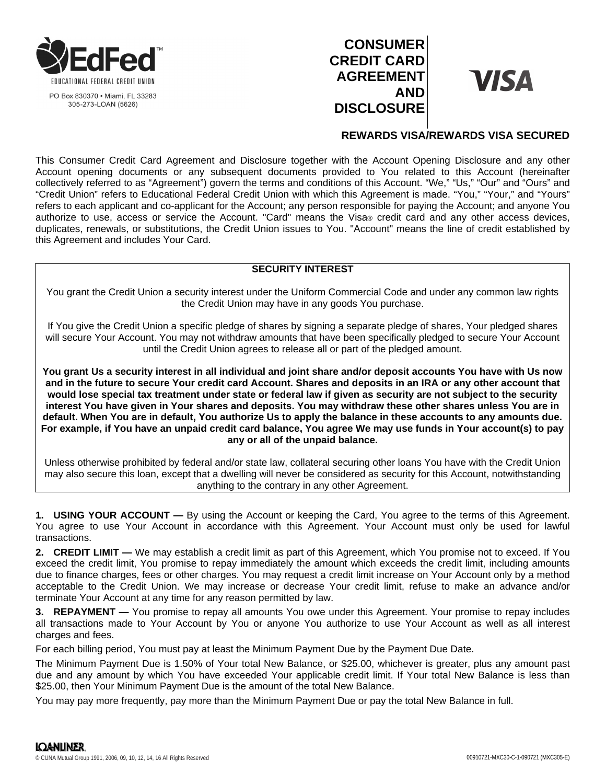

PO Box 830370 · Miami, FL 33283 305-273-LOAN (5626)

# **CONSUMER CREDIT CARD AGREEMENT AND DISCLOSURE**



# **REWARDS VISA/REWARDS VISA SECURED**

This Consumer Credit Card Agreement and Disclosure together with the Account Opening Disclosure and any other Account opening documents or any subsequent documents provided to You related to this Account (hereinafter collectively referred to as "Agreement") govern the terms and conditions of this Account. "We," "Us," "Our" and "Ours" and "Credit Union" refers to Educational Federal Credit Union with which this Agreement is made. "You," "Your," and "Yours" refers to each applicant and co-applicant for the Account; any person responsible for paying the Account; and anyone You authorize to use, access or service the Account. "Card" means the Visa® credit card and any other access devices, duplicates, renewals, or substitutions, the Credit Union issues to You. "Account" means the line of credit established by this Agreement and includes Your Card.

#### **SECURITY INTEREST**

You grant the Credit Union a security interest under the Uniform Commercial Code and under any common law rights the Credit Union may have in any goods You purchase.

If You give the Credit Union a specific pledge of shares by signing a separate pledge of shares, Your pledged shares will secure Your Account. You may not withdraw amounts that have been specifically pledged to secure Your Account until the Credit Union agrees to release all or part of the pledged amount.

**You grant Us a security interest in all individual and joint share and/or deposit accounts You have with Us now and in the future to secure Your credit card Account. Shares and deposits in an IRA or any other account that would lose special tax treatment under state or federal law if given as security are not subject to the security interest You have given in Your shares and deposits. You may withdraw these other shares unless You are in default. When You are in default, You authorize Us to apply the balance in these accounts to any amounts due. For example, if You have an unpaid credit card balance, You agree We may use funds in Your account(s) to pay any or all of the unpaid balance.** 

Unless otherwise prohibited by federal and/or state law, collateral securing other loans You have with the Credit Union may also secure this loan, except that a dwelling will never be considered as security for this Account, notwithstanding anything to the contrary in any other Agreement.

**1. USING YOUR ACCOUNT —** By using the Account or keeping the Card, You agree to the terms of this Agreement. You agree to use Your Account in accordance with this Agreement. Your Account must only be used for lawful transactions.

**2. CREDIT LIMIT —** We may establish a credit limit as part of this Agreement, which You promise not to exceed. If You exceed the credit limit, You promise to repay immediately the amount which exceeds the credit limit, including amounts due to finance charges, fees or other charges. You may request a credit limit increase on Your Account only by a method acceptable to the Credit Union. We may increase or decrease Your credit limit, refuse to make an advance and/or terminate Your Account at any time for any reason permitted by law.

**3. REPAYMENT —** You promise to repay all amounts You owe under this Agreement. Your promise to repay includes all transactions made to Your Account by You or anyone You authorize to use Your Account as well as all interest charges and fees.

For each billing period, You must pay at least the Minimum Payment Due by the Payment Due Date.

The Minimum Payment Due is 1.50% of Your total New Balance, or \$25.00, whichever is greater, plus any amount past due and any amount by which You have exceeded Your applicable credit limit. If Your total New Balance is less than \$25.00, then Your Minimum Payment Due is the amount of the total New Balance.

You may pay more frequently, pay more than the Minimum Payment Due or pay the total New Balance in full.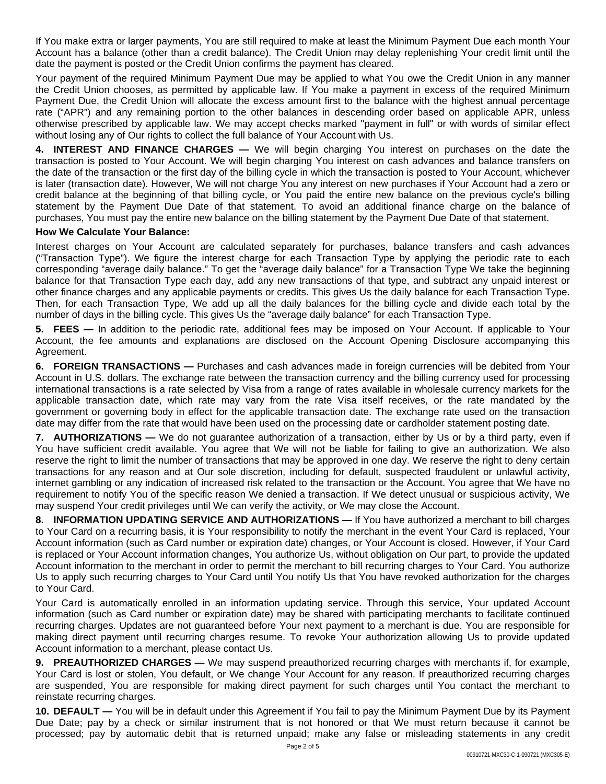If You make extra or larger payments, You are still required to make at least the Minimum Payment Due each month Your Account has a balance (other than a credit balance). The Credit Union may delay replenishing Your credit limit until the date the payment is posted or the Credit Union confirms the payment has cleared.

Your payment of the required Minimum Payment Due may be applied to what You owe the Credit Union in any manner the Credit Union chooses, as permitted by applicable law. If You make a payment in excess of the required Minimum Payment Due, the Credit Union will allocate the excess amount first to the balance with the highest annual percentage rate ("APR") and any remaining portion to the other balances in descending order based on applicable APR, unless otherwise prescribed by applicable law. We may accept checks marked "payment in full" or with words of similar effect without losing any of Our rights to collect the full balance of Your Account with Us.

**4. INTEREST AND FINANCE CHARGES —** We will begin charging You interest on purchases on the date the transaction is posted to Your Account. We will begin charging You interest on cash advances and balance transfers on the date of the transaction or the first day of the billing cycle in which the transaction is posted to Your Account, whichever is later (transaction date). However, We will not charge You any interest on new purchases if Your Account had a zero or credit balance at the beginning of that billing cycle, or You paid the entire new balance on the previous cycle's billing statement by the Payment Due Date of that statement. To avoid an additional finance charge on the balance of purchases, You must pay the entire new balance on the billing statement by the Payment Due Date of that statement.

## **How We Calculate Your Balance:**

Interest charges on Your Account are calculated separately for purchases, balance transfers and cash advances ("Transaction Type"). We figure the interest charge for each Transaction Type by applying the periodic rate to each corresponding "average daily balance." To get the "average daily balance" for a Transaction Type We take the beginning balance for that Transaction Type each day, add any new transactions of that type, and subtract any unpaid interest or other finance charges and any applicable payments or credits. This gives Us the daily balance for each Transaction Type. Then, for each Transaction Type, We add up all the daily balances for the billing cycle and divide each total by the number of days in the billing cycle. This gives Us the "average daily balance" for each Transaction Type.

**5. FEES —** In addition to the periodic rate, additional fees may be imposed on Your Account. If applicable to Your Account, the fee amounts and explanations are disclosed on the Account Opening Disclosure accompanying this Agreement.

**6. FOREIGN TRANSACTIONS —** Purchases and cash advances made in foreign currencies will be debited from Your Account in U.S. dollars. The exchange rate between the transaction currency and the billing currency used for processing international transactions is a rate selected by Visa from a range of rates available in wholesale currency markets for the applicable transaction date, which rate may vary from the rate Visa itself receives, or the rate mandated by the government or governing body in effect for the applicable transaction date. The exchange rate used on the transaction date may differ from the rate that would have been used on the processing date or cardholder statement posting date.

**7. AUTHORIZATIONS —** We do not guarantee authorization of a transaction, either by Us or by a third party, even if You have sufficient credit available. You agree that We will not be liable for failing to give an authorization. We also reserve the right to limit the number of transactions that may be approved in one day. We reserve the right to deny certain transactions for any reason and at Our sole discretion, including for default, suspected fraudulent or unlawful activity, internet gambling or any indication of increased risk related to the transaction or the Account. You agree that We have no requirement to notify You of the specific reason We denied a transaction. If We detect unusual or suspicious activity, We may suspend Your credit privileges until We can verify the activity, or We may close the Account.

**8. INFORMATION UPDATING SERVICE AND AUTHORIZATIONS —** If You have authorized a merchant to bill charges to Your Card on a recurring basis, it is Your responsibility to notify the merchant in the event Your Card is replaced, Your Account information (such as Card number or expiration date) changes, or Your Account is closed. However, if Your Card is replaced or Your Account information changes, You authorize Us, without obligation on Our part, to provide the updated Account information to the merchant in order to permit the merchant to bill recurring charges to Your Card. You authorize Us to apply such recurring charges to Your Card until You notify Us that You have revoked authorization for the charges to Your Card.

Your Card is automatically enrolled in an information updating service. Through this service, Your updated Account information (such as Card number or expiration date) may be shared with participating merchants to facilitate continued recurring charges. Updates are not guaranteed before Your next payment to a merchant is due. You are responsible for making direct payment until recurring charges resume. To revoke Your authorization allowing Us to provide updated Account information to a merchant, please contact Us.

**9. PREAUTHORIZED CHARGES —** We may suspend preauthorized recurring charges with merchants if, for example, Your Card is lost or stolen, You default, or We change Your Account for any reason. If preauthorized recurring charges are suspended, You are responsible for making direct payment for such charges until You contact the merchant to reinstate recurring charges.

**10. DEFAULT —** You will be in default under this Agreement if You fail to pay the Minimum Payment Due by its Payment Due Date; pay by a check or similar instrument that is not honored or that We must return because it cannot be processed; pay by automatic debit that is returned unpaid; make any false or misleading statements in any credit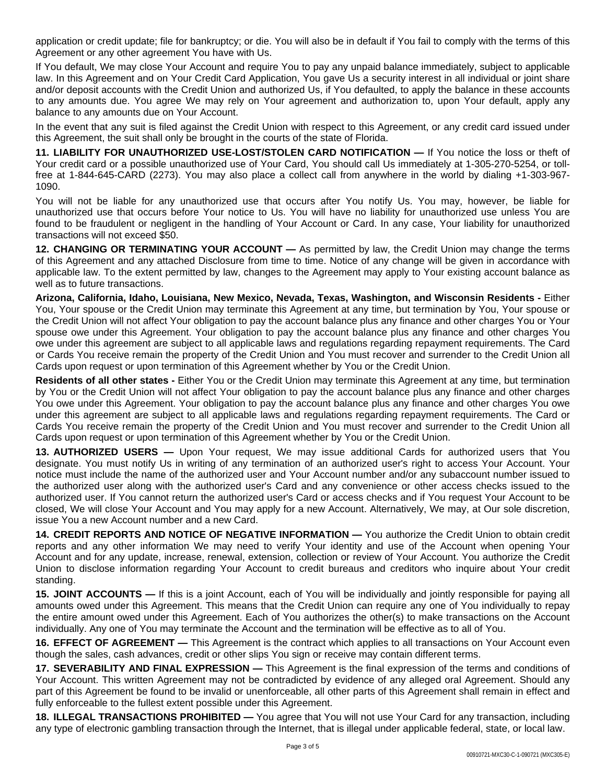application or credit update; file for bankruptcy; or die. You will also be in default if You fail to comply with the terms of this Agreement or any other agreement You have with Us.

If You default, We may close Your Account and require You to pay any unpaid balance immediately, subject to applicable law. In this Agreement and on Your Credit Card Application, You gave Us a security interest in all individual or joint share and/or deposit accounts with the Credit Union and authorized Us, if You defaulted, to apply the balance in these accounts to any amounts due. You agree We may rely on Your agreement and authorization to, upon Your default, apply any balance to any amounts due on Your Account.

In the event that any suit is filed against the Credit Union with respect to this Agreement, or any credit card issued under this Agreement, the suit shall only be brought in the courts of the state of Florida.

**11. LIABILITY FOR UNAUTHORIZED USE-LOST/STOLEN CARD NOTIFICATION —** If You notice the loss or theft of Your credit card or a possible unauthorized use of Your Card, You should call Us immediately at 1-305-270-5254, or tollfree at 1-844-645-CARD (2273). You may also place a collect call from anywhere in the world by dialing +1-303-967- 1090.

You will not be liable for any unauthorized use that occurs after You notify Us. You may, however, be liable for unauthorized use that occurs before Your notice to Us. You will have no liability for unauthorized use unless You are found to be fraudulent or negligent in the handling of Your Account or Card. In any case, Your liability for unauthorized transactions will not exceed \$50.

**12. CHANGING OR TERMINATING YOUR ACCOUNT —** As permitted by law, the Credit Union may change the terms of this Agreement and any attached Disclosure from time to time. Notice of any change will be given in accordance with applicable law. To the extent permitted by law, changes to the Agreement may apply to Your existing account balance as well as to future transactions.

**Arizona, California, Idaho, Louisiana, New Mexico, Nevada, Texas, Washington, and Wisconsin Residents -** Either You, Your spouse or the Credit Union may terminate this Agreement at any time, but termination by You, Your spouse or the Credit Union will not affect Your obligation to pay the account balance plus any finance and other charges You or Your spouse owe under this Agreement. Your obligation to pay the account balance plus any finance and other charges You owe under this agreement are subject to all applicable laws and regulations regarding repayment requirements. The Card or Cards You receive remain the property of the Credit Union and You must recover and surrender to the Credit Union all Cards upon request or upon termination of this Agreement whether by You or the Credit Union.

**Residents of all other states -** Either You or the Credit Union may terminate this Agreement at any time, but termination by You or the Credit Union will not affect Your obligation to pay the account balance plus any finance and other charges You owe under this Agreement. Your obligation to pay the account balance plus any finance and other charges You owe under this agreement are subject to all applicable laws and regulations regarding repayment requirements. The Card or Cards You receive remain the property of the Credit Union and You must recover and surrender to the Credit Union all Cards upon request or upon termination of this Agreement whether by You or the Credit Union.

**13. AUTHORIZED USERS —** Upon Your request, We may issue additional Cards for authorized users that You designate. You must notify Us in writing of any termination of an authorized user's right to access Your Account. Your notice must include the name of the authorized user and Your Account number and/or any subaccount number issued to the authorized user along with the authorized user's Card and any convenience or other access checks issued to the authorized user. If You cannot return the authorized user's Card or access checks and if You request Your Account to be closed, We will close Your Account and You may apply for a new Account. Alternatively, We may, at Our sole discretion, issue You a new Account number and a new Card.

**14. CREDIT REPORTS AND NOTICE OF NEGATIVE INFORMATION —** You authorize the Credit Union to obtain credit reports and any other information We may need to verify Your identity and use of the Account when opening Your Account and for any update, increase, renewal, extension, collection or review of Your Account. You authorize the Credit Union to disclose information regarding Your Account to credit bureaus and creditors who inquire about Your credit standing.

**15. JOINT ACCOUNTS —** If this is a joint Account, each of You will be individually and jointly responsible for paying all amounts owed under this Agreement. This means that the Credit Union can require any one of You individually to repay the entire amount owed under this Agreement. Each of You authorizes the other(s) to make transactions on the Account individually. Any one of You may terminate the Account and the termination will be effective as to all of You.

**16. EFFECT OF AGREEMENT —** This Agreement is the contract which applies to all transactions on Your Account even though the sales, cash advances, credit or other slips You sign or receive may contain different terms.

**17. SEVERABILITY AND FINAL EXPRESSION —** This Agreement is the final expression of the terms and conditions of Your Account. This written Agreement may not be contradicted by evidence of any alleged oral Agreement. Should any part of this Agreement be found to be invalid or unenforceable, all other parts of this Agreement shall remain in effect and fully enforceable to the fullest extent possible under this Agreement.

**18. ILLEGAL TRANSACTIONS PROHIBITED —** You agree that You will not use Your Card for any transaction, including any type of electronic gambling transaction through the Internet, that is illegal under applicable federal, state, or local law.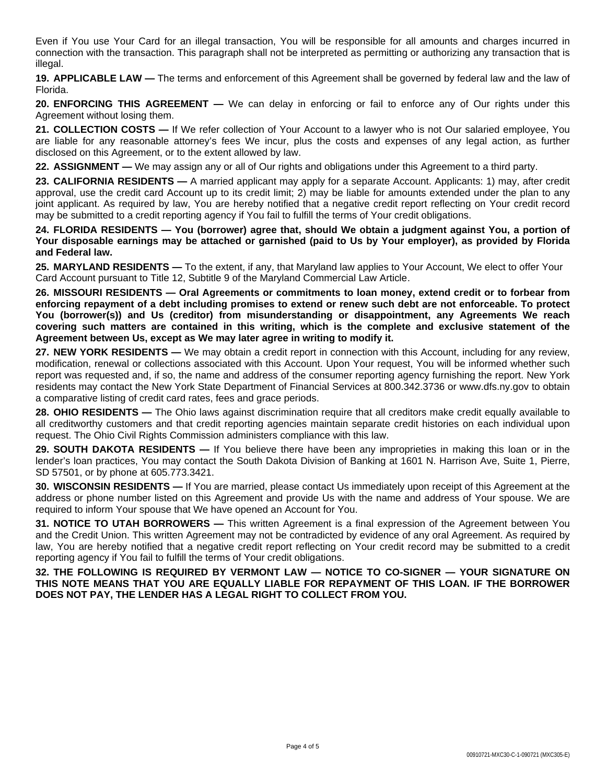Even if You use Your Card for an illegal transaction, You will be responsible for all amounts and charges incurred in connection with the transaction. This paragraph shall not be interpreted as permitting or authorizing any transaction that is illegal.

**19. APPLICABLE LAW —** The terms and enforcement of this Agreement shall be governed by federal law and the law of Florida.

**20. ENFORCING THIS AGREEMENT —** We can delay in enforcing or fail to enforce any of Our rights under this Agreement without losing them.

**21. COLLECTION COSTS —** If We refer collection of Your Account to a lawyer who is not Our salaried employee, You are liable for any reasonable attorney's fees We incur, plus the costs and expenses of any legal action, as further disclosed on this Agreement, or to the extent allowed by law.

**22. ASSIGNMENT —** We may assign any or all of Our rights and obligations under this Agreement to a third party.

**23. CALIFORNIA RESIDENTS —** A married applicant may apply for a separate Account. Applicants: 1) may, after credit approval, use the credit card Account up to its credit limit; 2) may be liable for amounts extended under the plan to any joint applicant. As required by law, You are hereby notified that a negative credit report reflecting on Your credit record may be submitted to a credit reporting agency if You fail to fulfill the terms of Your credit obligations.

**24. FLORIDA RESIDENTS — You (borrower) agree that, should We obtain a judgment against You, a portion of Your disposable earnings may be attached or garnished (paid to Us by Your employer), as provided by Florida and Federal law.** 

**25. MARYLAND RESIDENTS —** To the extent, if any, that Maryland law applies to Your Account, We elect to offer Your Card Account pursuant to Title 12, Subtitle 9 of the Maryland Commercial Law Article.

**26. MISSOURI RESIDENTS — Oral Agreements or commitments to loan money, extend credit or to forbear from enforcing repayment of a debt including promises to extend or renew such debt are not enforceable. To protect You (borrower(s)) and Us (creditor) from misunderstanding or disappointment, any Agreements We reach covering such matters are contained in this writing, which is the complete and exclusive statement of the Agreement between Us, except as We may later agree in writing to modify it.** 

**27. NEW YORK RESIDENTS —** We may obtain a credit report in connection with this Account, including for any review, modification, renewal or collections associated with this Account. Upon Your request, You will be informed whether such report was requested and, if so, the name and address of the consumer reporting agency furnishing the report. New York residents may contact the New York State Department of Financial Services at 800.342.3736 or<www.dfs.ny.gov> to obtain a comparative listing of credit card rates, fees and grace periods.

**28. OHIO RESIDENTS** — The Ohio laws against discrimination require that all creditors make credit equally available to all creditworthy customers and that credit reporting agencies maintain separate credit histories on each individual upon request. The Ohio Civil Rights Commission administers compliance with this law.

**29. SOUTH DAKOTA RESIDENTS —** If You believe there have been any improprieties in making this loan or in the lender's loan practices, You may contact the South Dakota Division of Banking at 1601 N. Harrison Ave, Suite 1, Pierre, SD 57501, or by phone at 605.773.3421.

**30. WISCONSIN RESIDENTS —** If You are married, please contact Us immediately upon receipt of this Agreement at the address or phone number listed on this Agreement and provide Us with the name and address of Your spouse. We are required to inform Your spouse that We have opened an Account for You.

**31. NOTICE TO UTAH BORROWERS —** This written Agreement is a final expression of the Agreement between You and the Credit Union. This written Agreement may not be contradicted by evidence of any oral Agreement. As required by law, You are hereby notified that a negative credit report reflecting on Your credit record may be submitted to a credit reporting agency if You fail to fulfill the terms of Your credit obligations.

**32. THE FOLLOWING IS REQUIRED BY VERMONT LAW — NOTICE TO CO-SIGNER — YOUR SIGNATURE ON THIS NOTE MEANS THAT YOU ARE EQUALLY LIABLE FOR REPAYMENT OF THIS LOAN. IF THE BORROWER DOES NOT PAY, THE LENDER HAS A LEGAL RIGHT TO COLLECT FROM YOU.**